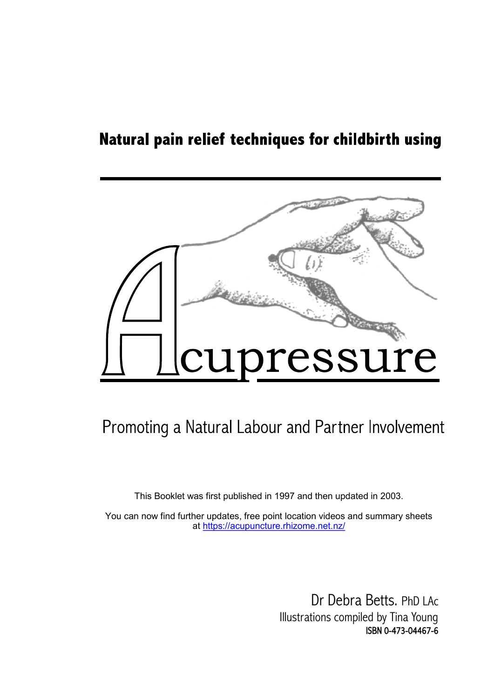## Natural pain relief techniques for childbirth using



# Promoting a Natural Labour and Partner Involvement

This Booklet was first published in 1997 and then updated in 2003.

You can now find further updates, free point location videos and summary sheets at<https://acupuncture.rhizome.net.nz/>

> Dr Debra Betts. PhD LAc Illustrations compiled by Tina Young ISBN 0-473-04467-6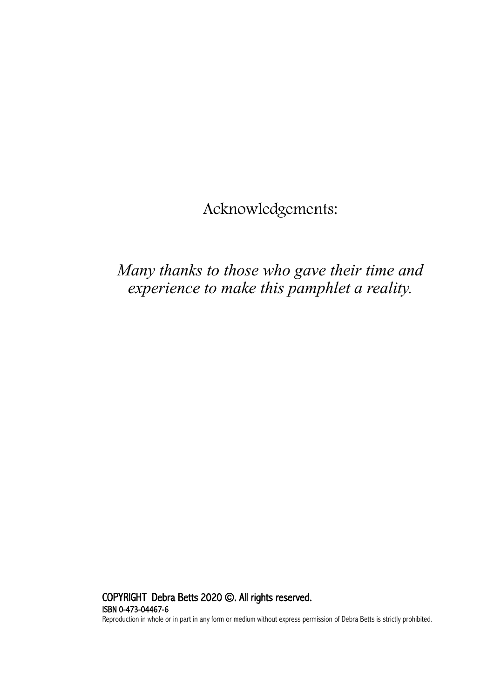Acknowledgements:

## *Many thanks to those who gave their time and experience to make this pamphlet a reality.*

COPYRIGHT Debra Betts 2020 ©. All rights reserved. ISBN 0-473-04467-6 Reproduction in whole or in part in any form or medium without express permission of Debra Betts is strictly prohibited.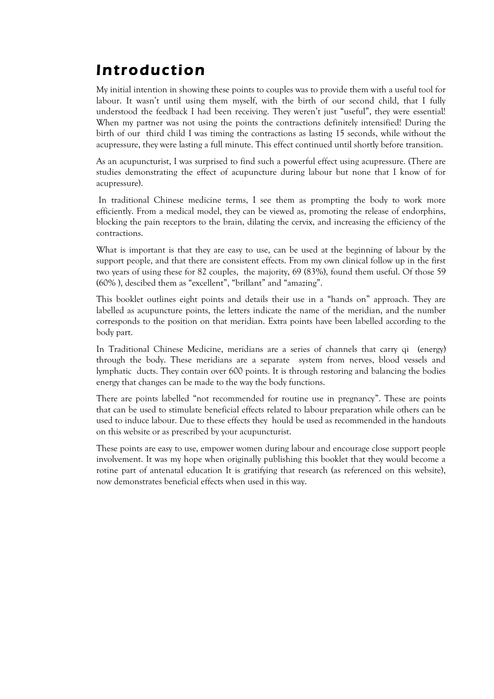# Introduction Introduction

My initial intention in showing these points to couples was to provide them with a useful labour. It wasn't until using them myself, with the birth of our second child, that I fully abour. It wasn't until asing them myself, with the birth of our second child, that I fully understood the feedback I had been receiving. They weren't just "useful", they were essential! fully understood the feedback I had been receiving. They weren't just "useful", they were When my partner was not using the points the contractions definitely intensified! During the when my partner was not using the points the contractions definitely intensified. Butthey the birth of our third child I was timing the contractions as lasting 15 seconds, while without the intensified that the birth of was timing the contractions as lasting 15 seconds, while without to acupressure, they were lasting a full minute. This effect continued until shortly before transition.<br> My initial intention in showing these points to couples was to provide them with a useful tool for

As an acupuncturist, I was surprised to find such a powerful effect using acupressure. (There are studies demonstrating the effect of acupuncture during labour but none that I know of for<br>surpressure)  $\alpha$  studies during the effect of acupuscture during labour but none that I know of acupus  $\alpha$  is  $\alpha$  known of  $\alpha$  know of  $\alpha$  know of  $\alpha$  know of  $\alpha$  know of  $\alpha$  know of  $\alpha$  know of  $\alpha$  know of  $\alpha$  know of  $\alpha$ acupressure).

In traditional Chinese medicine terms, I see them as prompting the body to work more To me it is not in a measurement in the language of the capable of producing the return of the product of the<br>Indian the nain necessary to the language dilating the consistent dimension the efficiency of the blocking the pain receptors to the brain, dilating the cervix, and increasing the efficiency of the<br>contractions  $\frac{1}{2}$ . From a medical model, they can be viewed as, promotion the release of release of release of release of  $\frac{1}{2}$ . efficiently. From a medical model, they can be viewed as, promoting the release of endorphins, contractions.

What is important is that they are easy to use, can be used at the beginning of labour by the support people, and that there are consistent effects. From my own clinical follow up in the first When  $\frac{1}{\sqrt{N}}$  is the used at the beginning  $\frac{1}{N}$  to use the used at the beginning of  $\frac{1}{N}$ (60% ), descibed them as "excellent", "brillant" and "amazing". two years of using these for 82 couples, the majority, 69 (83%), found them useful. Of those 59

This booklet outlines eight points and details their use in a "hands on" approach. They are the details and details the points, the returns intricate the name of the incritian, and the manno corresponds to the position on that meridian. Extra points have been labelled according to the<br>hadvasts number corresponds to the position on the points have been labelled by part. labelled as acupuncture points, the letters indicate the name of the meridian, and the number body part.

In Traditional Chinese Medicine, meridians are a series of channels that carry qi (energy) In Traditional Chinese Medicine, meridians are a separate system from herves, blood vessels an lymphatic ducts. They contain over 600 points. It is through restoring and balancing the bodies<br>anomy that abanges are ha made to the way the hady functions. energy that changes can be made to the way the body functions. through the body. These meridians are a separate system from nerves, blood vessels and

There are points labelled "not recommended for routine use in pregnancy". These are points there are points to summate benennia encew related to labour preparation with others can be used to induce labour. Due to these effects they hould be used as recommended in the handouts<br>an this urbits an as prescribed by useur severe truits. on this website or as prescribed by your acupuncturist. that can be used to stimulate beneficial effects related to labour preparation while others can be

involvement. It was my hope when originally publishing this booklet that they would become a rotine part of antenatal education It is gratifying that research (as referenced on this website), rome part or antenatal calculation te is grain, ing that researc These points are easy to use, empower women during labour and encourage close support people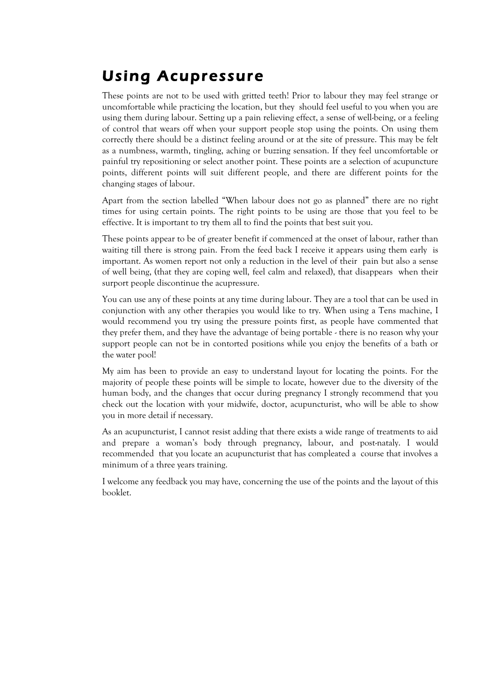# Using Acupressure

These points are not to be used with gritted teeth! Prior to labour they may feel strange or uncomfortable while practicing the location, but they should feel useful to you when you are using them during labour. Setting up a pain relieving effect, a sense of well-being, or a feeling of control that wears off when your support people stop using the points. On using them correctly there should be a distinct feeling around or at the site of pressure. This may be felt as a numbness, warmth, tingling, aching or buzzing sensation. If they feel uncomfortable or painful try repositioning or select another point. These points are a selection of acupuncture points, different points will suit different people, and there are different points for the changing stages of labour.

Apart from the section labelled "When labour does not go as planned" there are no right times for using certain points. The right points to be using are those that you feel to be effective. It is important to try them all to find the points that best suit you.

These points appear to be of greater benefit if commenced at the onset of labour, rather than waiting till there is strong pain. From the feed back I receive it appears using them early is important. As women report not only a reduction in the level of their pain but also a sense of well being, (that they are coping well, feel calm and relaxed), that disappears when their surport people discontinue the acupressure.

You can use any of these points at any time during labour. They are a tool that can be used in conjunction with any other therapies you would like to try. When using a Tens machine, I would recommend you try using the pressure points first, as people have commented that they prefer them, and they have the advantage of being portable - there is no reason why your support people can not be in contorted positions while you enjoy the benefits of a bath or the water pool!

My aim has been to provide an easy to understand layout for locating the points. For the majority of people these points will be simple to locate, however due to the diversity of the human body, and the changes that occur during pregnancy I strongly recommend that you check out the location with your midwife, doctor, acupuncturist, who will be able to show you in more detail if necessary.

As an acupuncturist, I cannot resist adding that there exists a wide range of treatments to aid and prepare a woman's body through pregnancy, labour, and post-nataly. I would recommended that you locate an acupuncturist that has compleated a course that involves a minimum of a three years training.

I welcome any feedback you may have, concerning the use of the points and the layout of this booklet.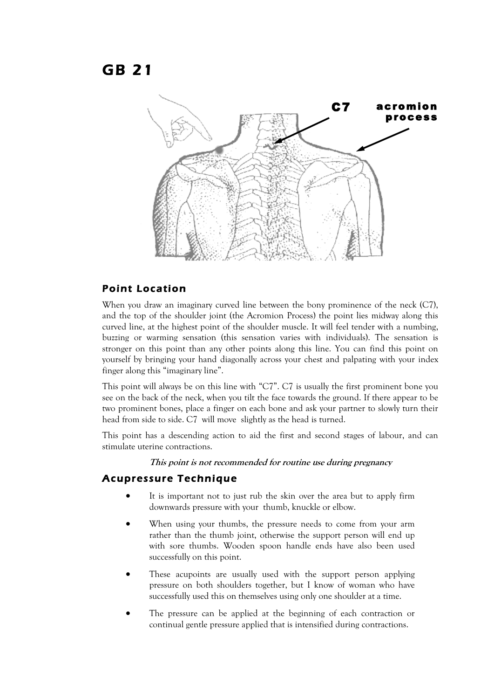### GB 21



#### Point Location

When you draw an imaginary curved line between the bony prominence of the neck (C7). and the top of the shoulder joint (the Acromion Process) the point lies midway along this curved line, at the highest point of the shoulder muscle. It will feel tender with a numbing, buzzing or warming sensation (this sensation varies with individuals). The sensation is stronger on this point than any other points along this line. You can find this point on yourself by bringing your hand diagonally across your chest and palpating with your index finger along this "imaginary line".

This point will always be on this line with "C7". C7 is usually the first prominent bone you see on the back of the neck, when you tilt the face towards the ground. If there appear to be two prominent bones, place a finger on each bone and ask your partner to slowly turn their head from side to side. C7 will move slightly as the head is turned.

This point has a descending action to aid the first and second stages of labour, and can stimulate uterine contractions.

**This point is not recommended for routine use during pregnancy**

- It is important not to just rub the skin over the area but to apply firm downwards pressure with your thumb, knuckle or elbow.
- When using your thumbs, the pressure needs to come from your arm rather than the thumb joint, otherwise the support person will end up with sore thumbs. Wooden spoon handle ends have also been used successfully on this point.
- These acupoints are usually used with the support person applying pressure on both shoulders together, but I know of woman who have successfully used this on themselves using only one shoulder at a time.
- The pressure can be applied at the beginning of each contraction or continual gentle pressure applied that is intensified during contractions.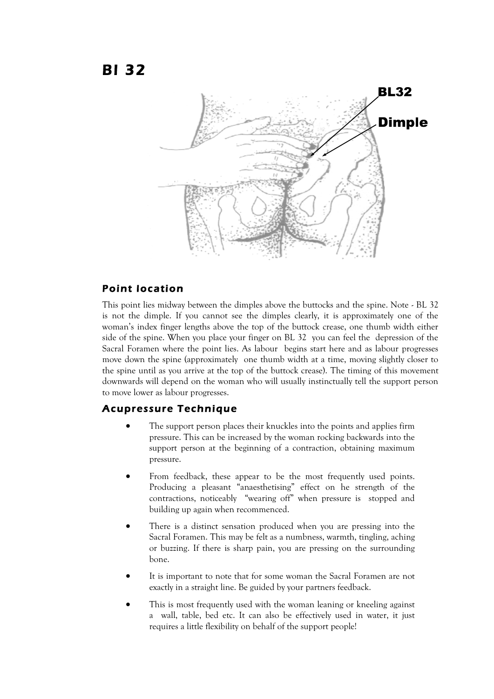

#### Point location

This point lies midway between the dimples above the buttocks and the spine. Note - BL 32 is not the dimple. If you cannot see the dimples clearly, it is approximately one of the woman's index finger lengths above the top of the buttock crease, one thumb width either side of the spine. When you place your finger on BL 32 you can feel the depression of the Sacral Foramen where the point lies. As labour begins start here and as labour progresses move down the spine (approximately one thumb width at a time, moving slightly closer to the spine until as you arrive at the top of the buttock crease). The timing of this movement downwards will depend on the woman who will usually instinctually tell the support person to move lower as labour progresses.

- The support person places their knuckles into the points and applies firm pressure. This can be increased by the woman rocking backwards into the support person at the beginning of a contraction, obtaining maximum pressure.
- From feedback, these appear to be the most frequently used points. Producing a pleasant "anaesthetising" effect on he strength of the contractions, noticeably "wearing off" when pressure is stopped and building up again when recommenced.
- There is a distinct sensation produced when you are pressing into the Sacral Foramen. This may be felt as a numbness, warmth, tingling, aching or buzzing. If there is sharp pain, you are pressing on the surrounding bone.
- It is important to note that for some woman the Sacral Foramen are not exactly in a straight line. Be guided by your partners feedback.
- This is most frequently used with the woman leaning or kneeling against a wall, table, bed etc. It can also be effectively used in water, it just requires a little flexibility on behalf of the support people!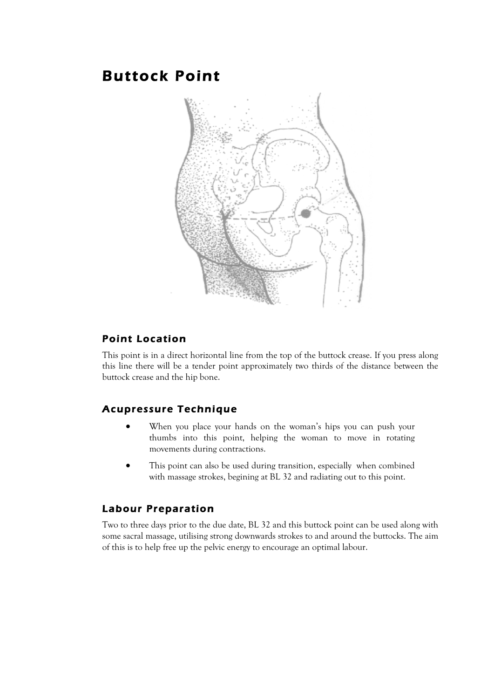### Buttock Point



#### Point Location

This point is in a direct horizontal line from the top of the buttock crease. If you press along this line there will be a tender point approximately two thirds of the distance between the buttock crease and the hip bone.

### Acupressure Technique

- When you place your hands on the woman's hips you can push your thumbs into this point, helping the woman to move in rotating movements during contractions.
- This point can also be used during transition, especially when combined with massage strokes, begining at BL 32 and radiating out to this point.

### Labour Preparation

Two to three days prior to the due date, BL 32 and this buttock point can be used along with some sacral massage, utilising strong downwards strokes to and around the buttocks. The aim of this is to help free up the pelvic energy to encourage an optimal labour.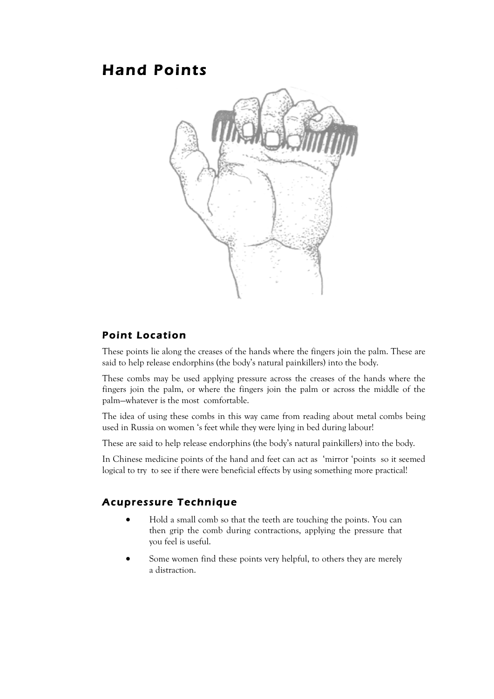### Hand Points



#### Point Location

These points lie along the creases of the hands where the fingers join the palm. These are said to help release endorphins (the body's natural painkillers) into the body.

These combs may be used applying pressure across the creases of the hands where the fingers join the palm, or where the fingers join the palm or across the middle of the palm—whatever is the most comfortable.

The idea of using these combs in this way came from reading about metal combs being used in Russia on women 's feet while they were lying in bed during labour!

These are said to help release endorphins (the body's natural painkillers) into the body.

In Chinese medicine points of the hand and feet can act as 'mirror 'points so it seemed logical to try to see if there were beneficial effects by using something more practical!

- Hold a small comb so that the teeth are touching the points. You can then grip the comb during contractions, applying the pressure that you feel is useful.
- Some women find these points very helpful, to others they are merely a distraction.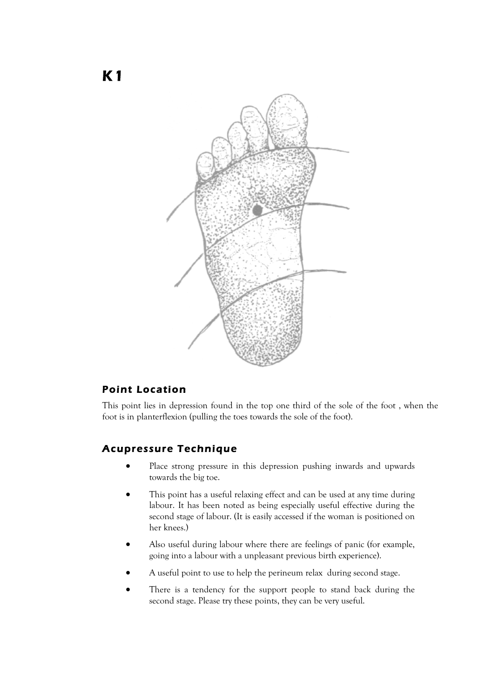

### Point Location

This point lies in depression found in the top one third of the sole of the foot , when the foot is in planterflexion (pulling the toes towards the sole of the foot).

- Place strong pressure in this depression pushing inwards and upwards towards the big toe.
- This point has a useful relaxing effect and can be used at any time during labour. It has been noted as being especially useful effective during the second stage of labour. (It is easily accessed if the woman is positioned on her knees.)
- Also useful during labour where there are feelings of panic (for example, going into a labour with a unpleasant previous birth experience).
- A useful point to use to help the perineum relax during second stage.
- There is a tendency for the support people to stand back during the second stage. Please try these points, they can be very useful.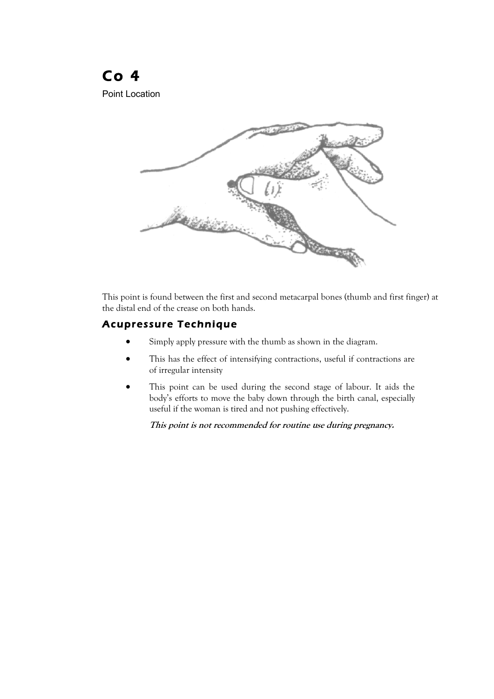### Co 4 Point Location



This point is found between the first and second metacarpal bones (thumb and first finger) at the distal end of the crease on both hands.

### Acupressure Technique

- Simply apply pressure with the thumb as shown in the diagram.
- This has the effect of intensifying contractions, useful if contractions are of irregular intensity
- This point can be used during the second stage of labour. It aids the body's efforts to move the baby down through the birth canal, especially useful if the woman is tired and not pushing effectively.

**This point is not recommended for routine use during pregnancy.**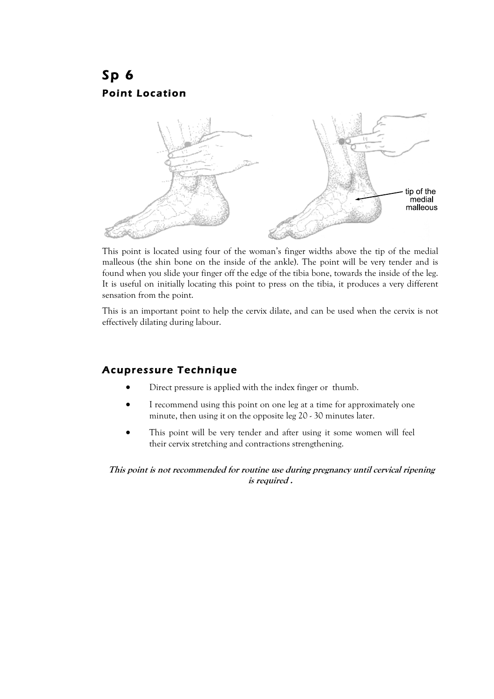### Sp 6 Point Location



This point is located using four of the woman's finger widths above the tip of the medial malleous (the shin bone on the inside of the ankle). The point will be very tender and is found when you slide your finger off the edge of the tibia bone, towards the inside of the leg. It is useful on initially locating this point to press on the tibia, it produces a very different sensation from the point.

This is an important point to help the cervix dilate, and can be used when the cervix is not effectively dilating during labour.

### Acupressure Technique

- Direct pressure is applied with the index finger or thumb.
- I recommend using this point on one leg at a time for approximately one minute, then using it on the opposite leg 20 - 30 minutes later.
- This point will be very tender and after using it some women will feel their cervix stretching and contractions strengthening.

**This point is not recommended for routine use during pregnancy until cervical ripening is required .**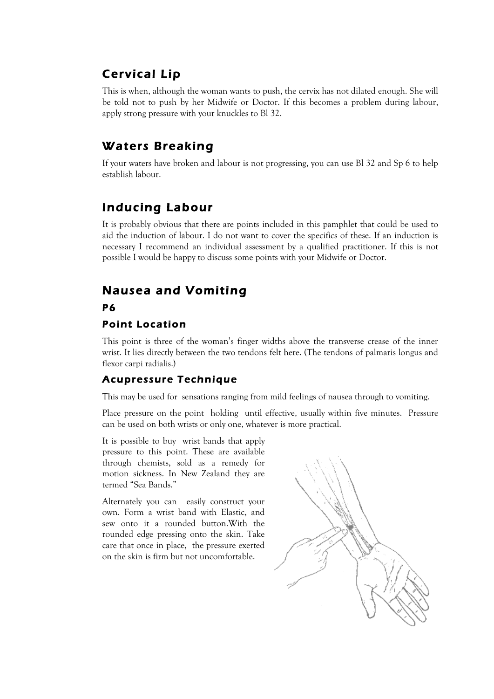### Cervical Lip

This is when, although the woman wants to push, the cervix has not dilated enough. She will be told not to push by her Midwife or Doctor. If this becomes a problem during labour, apply strong pressure with your knuckles to Bl 32.

### Waters Breaking

If your waters have broken and labour is not progressing, you can use Bl 32 and Sp 6 to help establish labour.

### Inducing Labour

It is probably obvious that there are points included in this pamphlet that could be used to aid the induction of labour. I do not want to cover the specifics of these. If an induction is necessary I recommend an individual assessment by a qualified practitioner. If this is not possible I would be happy to discuss some points with your Midwife or Doctor.

### Nausea and Vomiting P6

### Point Location

This point is three of the woman's finger widths above the transverse crease of the inner wrist. It lies directly between the two tendons felt here. (The tendons of palmaris longus and flexor carpi radialis.)

### Acupressure Technique

This may be used for sensations ranging from mild feelings of nausea through to vomiting.

Place pressure on the point holding until effective, usually within five minutes. Pressure can be used on both wrists or only one, whatever is more practical.

It is possible to buy wrist bands that apply pressure to this point. These are available through chemists, sold as a remedy for motion sickness. In New Zealand they are termed "Sea Bands."

Alternately you can easily construct your own. Form a wrist band with Elastic, and sew onto it a rounded button.With the rounded edge pressing onto the skin. Take care that once in place, the pressure exerted on the skin is firm but not uncomfortable.

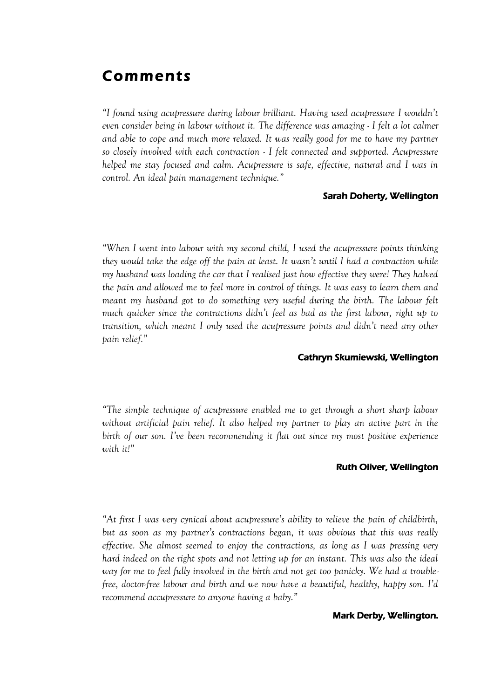### Comments

*"I found using acupressure during labour brilliant. Having used acupressure I wouldn't even consider being in labour without it. The difference was amazing - I felt a lot calmer*  and able to cope and much more relaxed. It was really good for me to have my partner *so closely involved with each contraction - I felt connected and supported. Acupressure helped me stay focused and calm. Acupressure is safe, effective, natural and I was in control. An ideal pain management technique."*

#### Sarah Doherty, Wellington

*"When I went into labour with my second child, I used the acupressure points thinking they would take the edge off the pain at least. It wasn't until I had a contraction while my husband was loading the car that I realised just how effective they were! They halved the pain and allowed me to feel more in control of things. It was easy to learn them and meant my husband got to do something very useful during the birth. The labour felt*  much quicker since the contractions didn't feel as bad as the first labour, right up to *transition, which meant I only used the acupressure points and didn't need any other pain relief."* 

#### Cathryn Skumiewski, Wellington

*"The simple technique of acupressure enabled me to get through a short sharp labour without artificial pain relief. It also helped my partner to play an active part in the birth of our son. I've been recommending it flat out since my most positive experience with it!"* 

#### Ruth Oliver, Wellington

*"At first I was very cynical about acupressure's ability to relieve the pain of childbirth, but as soon as my partner's contractions began, it was obvious that this was really effective. She almost seemed to enjoy the contractions, as long as I was pressing very hard indeed on the right spots and not letting up for an instant. This was also the ideal way for me to feel fully involved in the birth and not get too panicky. We had a troublefree, doctor-free labour and birth and we now have a beautiful, healthy, happy son. I'd recommend accupressure to anyone having a baby."* 

#### Mark Derby, Wellington.